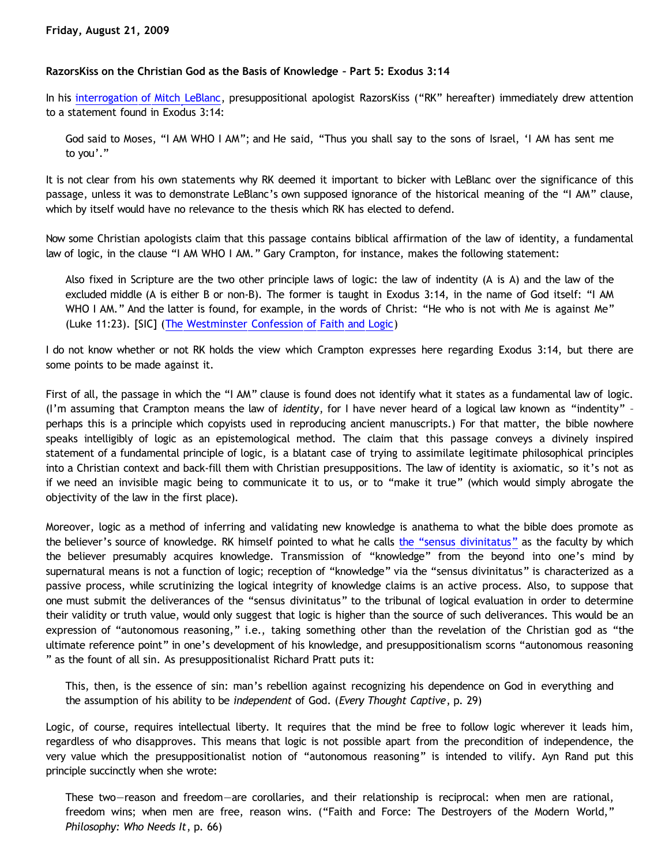## **RazorsKiss on the Christian God as the Basis of Knowledge – Part 5: Exodus 3:14**

In his [interrogation of Mitch LeBlanc](http://razorskiss.net/wp/2009/08/08/debate-transcript), presuppositional apologist RazorsKiss ("RK" hereafter) immediately drew attention to a statement found in Exodus 3:14:

God said to Moses, "I AM WHO I AM"; and He said, "Thus you shall say to the sons of Israel, 'I AM has sent me to you'."

It is not clear from his own statements why RK deemed it important to bicker with LeBlanc over the significance of this passage, unless it was to demonstrate LeBlanc's own supposed ignorance of the historical meaning of the "I AM" clause, which by itself would have no relevance to the thesis which RK has elected to defend.

Now some Christian apologists claim that this passage contains biblical affirmation of the law of identity, a fundamental law of logic, in the clause "I AM WHO I AM." Gary Crampton, for instance, makes the following statement:

Also fixed in Scripture are the two other principle laws of logic: the law of indentity (A is A) and the law of the excluded middle (A is either B or non-B). The former is taught in Exodus 3:14, in the name of God itself: "I AM WHO I AM." And the latter is found, for example, in the words of Christ: "He who is not with Me is against Me" (Luke 11:23). [SIC] ([The Westminster Confession of Faith and Logic\)](http://www.fpcr.org/blue_banner_articles/wcf_logic.htm)

I do not know whether or not RK holds the view which Crampton expresses here regarding Exodus 3:14, but there are some points to be made against it.

First of all, the passage in which the "I AM" clause is found does not identify what it states as a fundamental law of logic. (I'm assuming that Crampton means the law of *identity*, for I have never heard of a logical law known as "indentity" – perhaps this is a principle which copyists used in reproducing ancient manuscripts.) For that matter, the bible nowhere speaks intelligibly of logic as an epistemological method. The claim that this passage conveys a divinely inspired statement of a fundamental principle of logic, is a blatant case of trying to assimilate legitimate philosophical principles into a Christian context and back-fill them with Christian presuppositions. The law of identity is axiomatic, so it's not as if we need an invisible magic being to communicate it to us, or to "make it true" (which would simply abrogate the objectivity of the law in the first place).

Moreover, logic as a method of inferring and validating new knowledge is anathema to what the bible does promote as [the](http://bahnsenburner.blogspot.com/2009/08/razorskiss-on-christian-god-as-basis-of.html) believer's source of knowledge. RK himself pointed to what he calls the ["sensus divinitatus"](http://bahnsenburner.blogspot.com/2009/08/razorskiss-on-christian-god-as-basis-of.html) as the faculty by which the believer presumably acquires knowledge. Transmission of "knowledge" from the beyond into one's mind by supernatural means is not a function of logic; reception of "knowledge" via the "sensus divinitatus" is characterized as a passive process, while scrutinizing the logical integrity of knowledge claims is an active process. Also, to suppose that one must submit the deliverances of the "sensus divinitatus" to the tribunal of logical evaluation in order to determine their validity or truth value, would only suggest that logic is higher than the source of such deliverances. This would be an expression of "autonomous reasoning," i.e., taking something other than the revelation of the Christian god as "the ultimate reference point" in one's development of his knowledge, and presuppositionalism scorns "autonomous reasoning " as the fount of all sin. As presuppositionalist Richard Pratt puts it:

This, then, is the essence of sin: man's rebellion against recognizing his dependence on God in everything and the assumption of his ability to be *independent* of God. (*Every Thought Captive*, p. 29)

Logic, of course, requires intellectual liberty. It requires that the mind be free to follow logic wherever it leads him, regardless of who disapproves. This means that logic is not possible apart from the precondition of independence, the very value which the presuppositionalist notion of "autonomous reasoning" is intended to vilify. Ayn Rand put this principle succinctly when she wrote:

These two—reason and freedom—are corollaries, and their relationship is reciprocal: when men are rational, freedom wins; when men are free, reason wins. ("Faith and Force: The Destroyers of the Modern World," *Philosophy: Who Needs It*, p. 66)